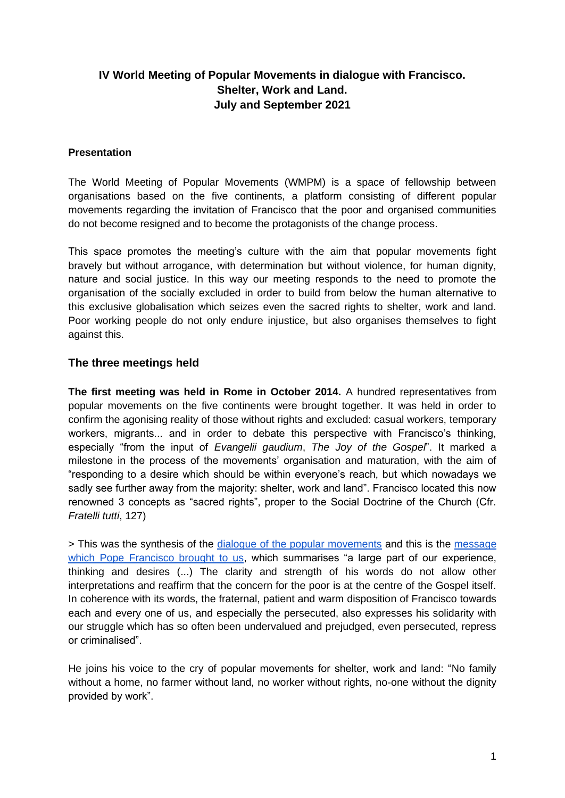# **IV World Meeting of Popular Movements in dialogue with Francisco. Shelter, Work and Land. July and September 2021**

#### **Presentation**

The World Meeting of Popular Movements (WMPM) is a space of fellowship between organisations based on the five continents, a platform consisting of different popular movements regarding the invitation of Francisco that the poor and organised communities do not become resigned and to become the protagonists of the change process.

This space promotes the meeting's culture with the aim that popular movements fight bravely but without arrogance, with determination but without violence, for human dignity, nature and social justice. In this way our meeting responds to the need to promote the organisation of the socially excluded in order to build from below the human alternative to this exclusive globalisation which seizes even the sacred rights to shelter, work and land. Poor working people do not only endure injustice, but also organises themselves to fight against this.

### **The three meetings held**

**The first meeting was held in Rome in October 2014.** A hundred representatives from popular movements on the five continents were brought together. It was held in order to confirm the agonising reality of those without rights and excluded: casual workers, temporary workers, migrants... and in order to debate this perspective with Francisco's thinking, especially "from the input of *Evangelii gaudium*, *The Joy of the Gospel*". It marked a milestone in the process of the movements' organisation and maturation, with the aim of "responding to a desire which should be within everyone's reach, but which nowadays we sadly see further away from the majority: shelter, work and land". Francisco located this now renowned 3 concepts as "sacred rights", proper to the Social Doctrine of the Church (Cfr. *Fratelli tutti*, 127)

> This was the synthesis of the [dialogue of the popular movements](https://movpop.org/wp-content/uploads/2014/10/Documento-Conclusivo-del-EMMP-2014.pdf) and this is the message [which Pope Francisco brought to us,](http://w2.vatican.va/content/francesco/es/speeches/2014/october/documents/papa-francesco_20141028_incontro-mondiale-movimenti-popolari.html) which summarises "a large part of our experience, thinking and desires (...) The clarity and strength of his words do not allow other interpretations and reaffirm that the concern for the poor is at the centre of the Gospel itself. In coherence with its words, the fraternal, patient and warm disposition of Francisco towards each and every one of us, and especially the persecuted, also expresses his solidarity with our struggle which has so often been undervalued and prejudged, even persecuted, repress or criminalised".

He joins his voice to the cry of popular movements for shelter, work and land: "No family without a home, no farmer without land, no worker without rights, no-one without the dignity provided by work".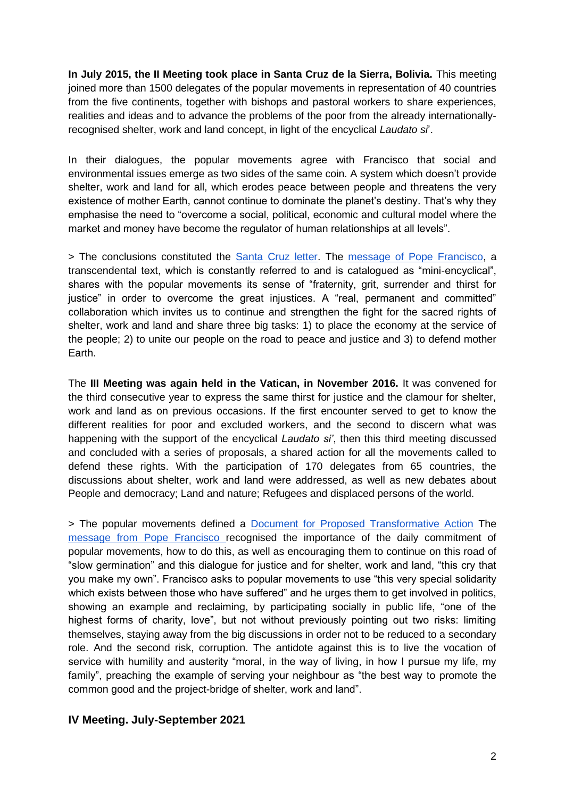**In July 2015, the II Meeting took place in Santa Cruz de la Sierra, Bolivia.** This meeting joined more than 1500 delegates of the popular movements in representation of 40 countries from the five continents, together with bishops and pastoral workers to share experiences, realities and ideas and to advance the problems of the poor from the already internationallyrecognised shelter, work and land concept, in light of the encyclical *Laudato si*'.

In their dialogues, the popular movements agree with Francisco that social and environmental issues emerge as two sides of the same coin. A system which doesn't provide shelter, work and land for all, which erodes peace between people and threatens the very existence of mother Earth, cannot continue to dominate the planet's destiny. That's why they emphasise the need to "overcome a social, political, economic and cultural model where the market and money have become the regulator of human relationships at all levels".

> The conclusions constituted the [Santa Cruz letter.](http://www.vatican.va/content/francesco/es/speeches/2015/july/documents/papa-francesco_20150709_bolivia-movimenti-popolari.html) The [message of Pope Francisco,](https://www.vatican.va/content/francesco/es/speeches/2015/july/documents/papa-francesco_20150709_bolivia-movimenti-popolari.html) a transcendental text, which is constantly referred to and is catalogued as "mini-encyclical", shares with the popular movements its sense of "fraternity, grit, surrender and thirst for justice" in order to overcome the great injustices. A "real, permanent and committed" collaboration which invites us to continue and strengthen the fight for the sacred rights of shelter, work and land and share three big tasks: 1) to place the economy at the service of the people; 2) to unite our people on the road to peace and justice and 3) to defend mother Earth.

The **III Meeting was again held in the Vatican, in November 2016.** It was convened for the third consecutive year to express the same thirst for justice and the clamour for shelter, work and land as on previous occasions. If the first encounter served to get to know the different realities for poor and excluded workers, and the second to discern what was happening with the support of the encyclical *Laudato si'*, then this third meeting discussed and concluded with a series of proposals, a shared action for all the movements called to defend these rights. With the participation of 170 delegates from 65 countries, the discussions about shelter, work and land were addressed, as well as new debates about People and democracy; Land and nature; Refugees and displaced persons of the world.

> The popular movements defined a [Document for Proposed Transformative Action](https://movpop.org/category/encuentro-iii/) The [message from Pope Francisco](https://www.vatican.va/content/francesco/es/speeches/2016/november/documents/papa-francesco_20161105_movimenti-popolari.html) recognised the importance of the daily commitment of popular movements, how to do this, as well as encouraging them to continue on this road of "slow germination" and this dialogue for justice and for shelter, work and land, "this cry that you make my own". Francisco asks to popular movements to use "this very special solidarity which exists between those who have suffered" and he urges them to get involved in politics, showing an example and reclaiming, by participating socially in public life, "one of the highest forms of charity, love", but not without previously pointing out two risks: limiting themselves, staying away from the big discussions in order not to be reduced to a secondary role. And the second risk, corruption. The antidote against this is to live the vocation of service with humility and austerity "moral, in the way of living, in how I pursue my life, my family", preaching the example of serving your neighbour as "the best way to promote the common good and the project-bridge of shelter, work and land".

### **IV Meeting. July-September 2021**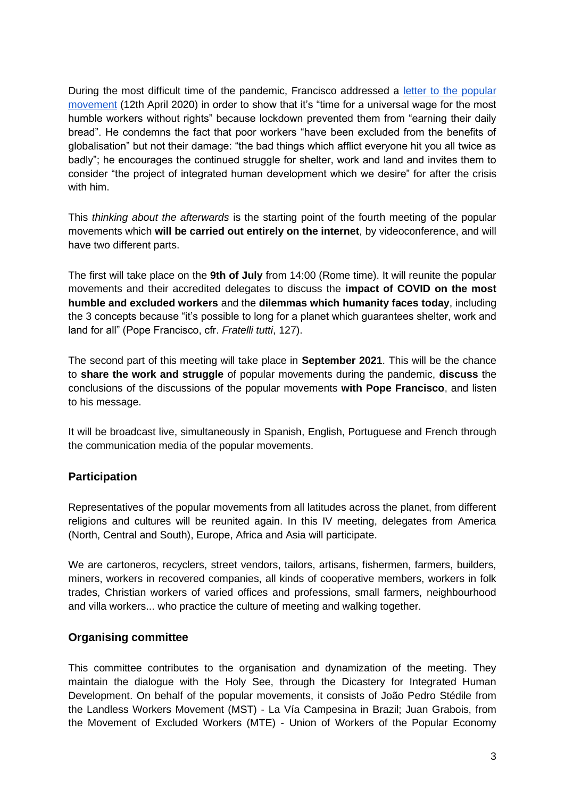During the most difficult time of the pandemic, Francisco addressed a [letter to the popular](https://www.vatican.va/content/francesco/es/letters/2020/documents/papa-francesco_20200412_lettera-movimentipopolari.html)  [movement](https://www.vatican.va/content/francesco/es/letters/2020/documents/papa-francesco_20200412_lettera-movimentipopolari.html) (12th April 2020) in order to show that it's "time for a universal wage for the most humble workers without rights" because lockdown prevented them from "earning their daily bread". He condemns the fact that poor workers "have been excluded from the benefits of globalisation" but not their damage: "the bad things which afflict everyone hit you all twice as badly"; he encourages the continued struggle for shelter, work and land and invites them to consider "the project of integrated human development which we desire" for after the crisis with him.

This *thinking about the afterwards* is the starting point of the fourth meeting of the popular movements which **will be carried out entirely on the internet**, by videoconference, and will have two different parts.

The first will take place on the **9th of July** from 14:00 (Rome time). It will reunite the popular movements and their accredited delegates to discuss the **impact of COVID on the most humble and excluded workers** and the **dilemmas which humanity faces today**, including the 3 concepts because "it's possible to long for a planet which guarantees shelter, work and land for all" (Pope Francisco, cfr. *Fratelli tutti*, 127).

The second part of this meeting will take place in **September 2021**. This will be the chance to **share the work and struggle** of popular movements during the pandemic, **discuss** the conclusions of the discussions of the popular movements **with Pope Francisco**, and listen to his message.

It will be broadcast live, simultaneously in Spanish, English, Portuguese and French through the communication media of the popular movements.

### **Participation**

Representatives of the popular movements from all latitudes across the planet, from different religions and cultures will be reunited again. In this IV meeting, delegates from America (North, Central and South), Europe, Africa and Asia will participate.

We are cartoneros, recyclers, street vendors, tailors, artisans, fishermen, farmers, builders, miners, workers in recovered companies, all kinds of cooperative members, workers in folk trades, Christian workers of varied offices and professions, small farmers, neighbourhood and villa workers... who practice the culture of meeting and walking together.

### **Organising committee**

This committee contributes to the organisation and dynamization of the meeting. They maintain the dialogue with the Holy See, through the Dicastery for Integrated Human Development. On behalf of the popular movements, it consists of João Pedro Stédile from the Landless Workers Movement (MST) - La Vía Campesina in Brazil; Juan Grabois, from the Movement of Excluded Workers (MTE) - Union of Workers of the Popular Economy